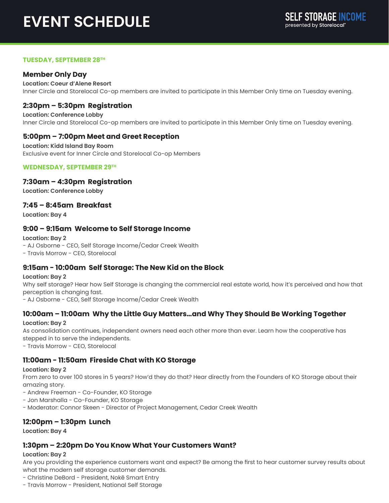# **EVENT SCHEDULE**

#### **TUESDAY, SEPTEMBER 28TH**

## **Member Only Day**

**Location: Coeur d'Alene Resort** Inner Circle and Storelocal Co-op members are invited to participate in this Member Only time on Tuesday evening.

## **2:30pm – 5:30pm Registration**

**Location: Conference Lobby** Inner Circle and Storelocal Co-op members are invited to participate in this Member Only time on Tuesday evening.

## **5:00pm – 7:00pm Meet and Greet Reception**

**Location: Kidd Island Bay Room** Exclusive event for Inner Circle and Storelocal Co-op Members

#### **WEDNESDAY, SEPTEMBER 29TH**

#### **7:30am – 4:30pm Registration**

**Location: Conference Lobby**

#### **7:45 – 8:45am Breakfast**

**Location: Bay 4** 

#### **9:00 – 9:15am Welcome to Self Storage Income**

**Location: Bay 2** - AJ Osborne - CEO, Self Storage Income/Cedar Creek Wealth - Travis Morrow - CEO, Storelocal

## **9:15am - 10:00am Self Storage: The New Kid on the Block**

**Location: Bay 2**

Why self storage? Hear how Self Storage is changing the commercial real estate world, how it's perceived and how that perception is changing fast.

- AJ Osborne - CEO, Self Storage Income/Cedar Creek Wealth

## **10:00am – 11:00am Why the Little Guy Matters…and Why They Should Be Working Together**

#### **Location: Bay 2**

As consolidation continues, independent owners need each other more than ever. Learn how the cooperative has stepped in to serve the independents.

- Travis Morrow - CEO, Storelocal

## **11:00am - 11:50am Fireside Chat with KO Storage**

#### **Location: Bay 2**

From zero to over 100 stores in 5 years? How'd they do that? Hear directly from the Founders of KO Storage about their amazing story.

- Andrew Freeman - Co-Founder, KO Storage

- Jon Marshalla Co-Founder, KO Storage
- Moderator: Connor Skeen Director of Project Management, Cedar Creek Wealth

## **12:00pm – 1:30pm Lunch**

**Location: Bay 4**

## **1:30pm – 2:20pm Do You Know What Your Customers Want?**

#### **Location: Bay 2**

Are you providing the experience customers want and expect? Be among the first to hear customer survey results about what the modern self storage customer demands.

- Christine DeBord - President, Nokē Smart Entry

- Travis Morrow - President, National Self Storage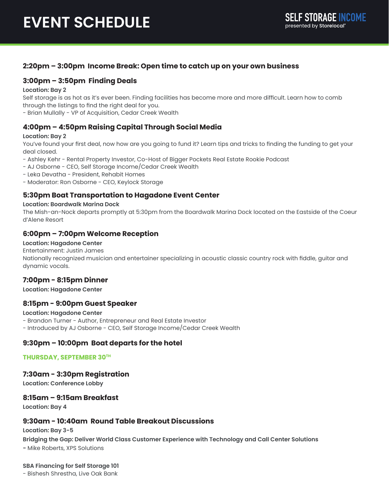## **2:20pm – 3:00pm Income Break: Open time to catch up on your own business**

## **3:00pm – 3:50pm Finding Deals**

#### **Location: Bay 2**

Self storage is as hot as it's ever been. Finding facilities has become more and more difficult. Learn how to comb through the listings to find the right deal for you.

- Brian Mullally - VP of Acquisition, Cedar Creek Wealth

## **4:00pm – 4:50pm Raising Capital Through Social Media**

#### **Location: Bay 2**

You've found your first deal, now how are you going to fund it? Learn tips and tricks to finding the funding to get your deal closed.

- Ashley Kehr Rental Property Investor, Co-Host of Bigger Pockets Real Estate Rookie Podcast
- AJ Osborne CEO, Self Storage Income/Cedar Creek Wealth
- Leka Devatha President, Rehabit Homes
- Moderator: Ron Osborne CEO, Keylock Storage

## **5:30pm Boat Transportation to Hagadone Event Center**

#### **Location: Boardwalk Marina Dock**

The Mish-an-Nock departs promptly at 5:30pm from the Boardwalk Marina Dock located on the Eastside of the Coeur d'Alene Resort

## **6:00pm – 7:00pm Welcome Reception**

#### **Location: Hagadone Center**

Entertainment: Justin James

Nationally recognized musician and entertainer specializing in acoustic classic country rock with fiddle, guitar and dynamic vocals.

## **7:00pm - 8:15pm Dinner**

**Location: Hagadone Center**

#### **8:15pm - 9:00pm Guest Speaker**

**Location: Hagadone Center** - Brandon Turner - Author, Entrepreneur and Real Estate Investor - Introduced by AJ Osborne - CEO, Self Storage Income/Cedar Creek Wealth

## **9:30pm – 10:00pm Boat departs for the hotel**

#### **THURSDAY, SEPTEMBER 30TH**

## **7:30am - 3:30pm Registration**

**Location: Conference Lobby** 

## **8:15am – 9:15am Breakfast**

**Location: Bay 4**

## **9:30am - 10:40am Round Table Breakout Discussions**

**Location: Bay 3-5**

**Bridging the Gap: Deliver World Class Customer Experience with Technology and Call Center Solutions -** Mike Roberts, XPS Solutions

**SBA Financing for Self Storage 101**

- Bishesh Shrestha, Live Oak Bank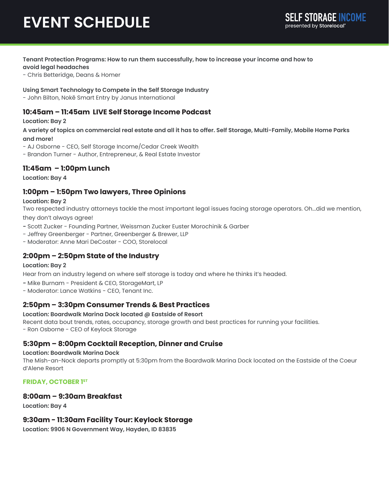# **EVENT SCHEDULE**

#### **Tenant Protection Programs: How to run them successfully, how to increase your income and how to avoid legal headaches**

- Chris Betteridge, Deans & Homer

**Using Smart Technology to Compete in the Self Storage Industry**

- John Bilton, Nokē Smart Entry by Janus International

## **10:45am – 11:45am LIVE Self Storage Income Podcast**

#### **Location: Bay 2**

**A variety of topics on commercial real estate and all it has to offer. Self Storage, Multi-Family, Mobile Home Parks and more!**

- AJ Osborne CEO, Self Storage Income/Cedar Creek Wealth
- Brandon Turner Author, Entrepreneur, & Real Estate Investor

## **11:45am – 1:00pm Lunch**

**Location: Bay 4**

## **1:00pm – 1:50pm Two lawyers, Three Opinions**

#### **Location: Bay 2**

Two respected industry attorneys tackle the most important legal issues facing storage operators. Oh...did we mention, they don't always agree!

- Scott Zucker Founding Partner, Weissman Zucker Euster Morochinik & Garber
- Jeffrey Greenberger Partner, Greenberger & Brewer, LLP
- Moderator: Anne Mari DeCoster COO, Storelocal

## **2:00pm – 2:50pm State of the Industry**

#### **Location: Bay 2**

Hear from an industry legend on where self storage is today and where he thinks it's headed.

- Mike Burnam President & CEO, StorageMart, LP
- Moderator: Lance Watkins CEO, Tenant Inc.

## **2:50pm – 3:30pm Consumer Trends & Best Practices**

#### **Location: Boardwalk Marina Dock located @ Eastside of Resort**

Recent data bout trends, rates, occupancy, storage growth and best practices for running your facilities.

- Ron Osborne - CEO of Keylock Storage

## **5:30pm – 8:00pm Cocktail Reception, Dinner and Cruise**

#### **Location: Boardwalk Marina Dock**

The Mish-an-Nock departs promptly at 5:30pm from the Boardwalk Marina Dock located on the Eastside of the Coeur d'Alene Resort

## **FRIDAY, OCTOBER 1ST**

## **8:00am – 9:30am Breakfast**

**Location: Bay 4**

## **9:30am - 11:30am Facility Tour: Keylock Storage**

**Location: 9906 N Government Way, Hayden, ID 83835**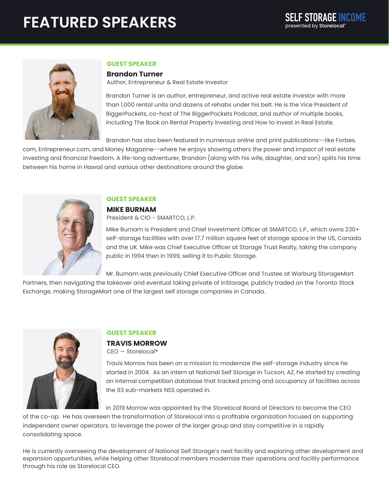# **FEATURED SPEAKERS**



## **GUEST SPEAKER**

#### **Brandon Turner**

Author, Entrepreneur & Real Estate Investor

Brandon Turner is an author, entrepreneur, and active real estate investor with more than 1,000 rental units and dozens of rehabs under his belt. He is the Vice President of BiggerPockets, co-host of The BiggerPockets Podcast, and author of multiple books, including The Book on Rental Property Investing and How to Invest in Real Estate.

Brandon has also been featured in numerous online and print publications--like Forbes.

com, Entrepreneur.com, and Money Magazine--where he enjoys showing others the power and impact of real estate investing and financial freedom. A life-long adventurer, Brandon (along with his wife, daughter, and son) splits his time between his home in Hawaii and various other destinations around the globe.



## **GUEST SPEAKER**

## **MIKE BURNAM**

President & CIO - SMARTCO, L.P.

Mike Burnam is President and Chief Investment Officer at SMARTCO, L.P., which owns 230+ self-storage facilities with over 17.7 million square feet of storage space in the US, Canada and the UK. Mike was Chief Executive Officer at Storage Trust Realty, taking the company public in 1994 then in 1999, selling it to Public Storage.

Mr. Burnam was previously Chief Executive Officer and Trustee at Warburg StorageMart

Partners, then navigating the takeover and eventual taking private of InStorage, publicly traded on the Toronto Stock Exchange, making StorageMart one of the largest self storage companies in Canada.



## **GUEST SPEAKER**

**TRAVIS MORROW** CEO — Storelocal®

Travis Morrow has been on a mission to modernize the self-storage industry since he started in 2004. As an intern at National Self Storage in Tucson, AZ, he started by creating an internal competition database that tracked pricing and occupancy of facilities across the 93 sub-markets NSS operated in.

In 2019 Morrow was appointed by the Storelocal Board of Directors to become the CEO

of the co-op. He has overseen the transformation of Storelocal into a profitable organization focused on supporting independent owner operators. to leverage the power of the larger group and stay competitive in a rapidly consolidating space.

He is currently overseeing the development of National Self Storage's next facility and exploring other development and expansion opportunities, while helping other Storelocal members modernize their operations and facility performance through his role as Storelocal CEO.